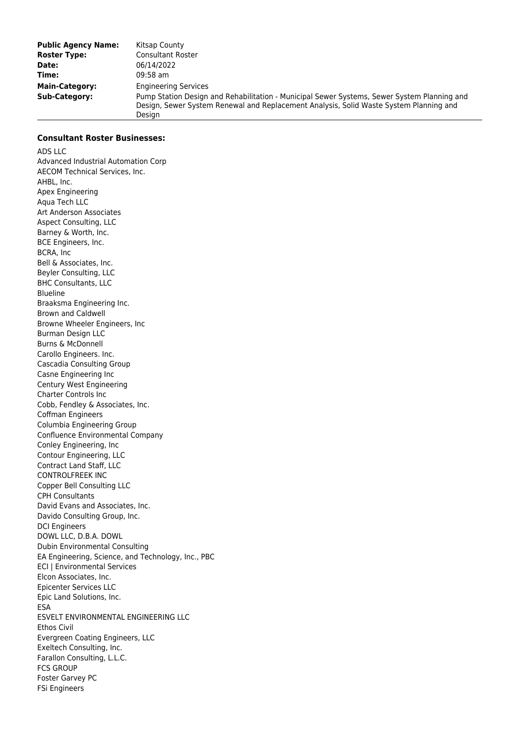| <b>Public Agency Name:</b> | Kitsap County                                                                                                                                                                                   |
|----------------------------|-------------------------------------------------------------------------------------------------------------------------------------------------------------------------------------------------|
| <b>Roster Type:</b>        | <b>Consultant Roster</b>                                                                                                                                                                        |
| Date:                      | 06/14/2022                                                                                                                                                                                      |
| Time:                      | $09:58$ am                                                                                                                                                                                      |
| Main-Category:             | <b>Engineering Services</b>                                                                                                                                                                     |
| <b>Sub-Category:</b>       | Pump Station Design and Rehabilitation - Municipal Sewer Systems, Sewer System Planning and<br>Design, Sewer System Renewal and Replacement Analysis, Solid Waste System Planning and<br>Desian |

## **Consultant Roster Businesses:**

ADS LLC Advanced Industrial Automation Corp AECOM Technical Services, Inc. AHBL, Inc. Apex Engineering Aqua Tech LLC Art Anderson Associates Aspect Consulting, LLC Barney & Worth, Inc. BCE Engineers, Inc. BCRA, Inc Bell & Associates, Inc. Beyler Consulting, LLC BHC Consultants, LLC Blueline Braaksma Engineering Inc. Brown and Caldwell Browne Wheeler Engineers, Inc Burman Design LLC Burns & McDonnell Carollo Engineers. Inc. Cascadia Consulting Group Casne Engineering Inc Century West Engineering Charter Controls Inc Cobb, Fendley & Associates, Inc. Coffman Engineers Columbia Engineering Group Confluence Environmental Company Conley Engineering, Inc Contour Engineering, LLC Contract Land Staff, LLC CONTROLFREEK INC Copper Bell Consulting LLC CPH Consultants David Evans and Associates, Inc. Davido Consulting Group, Inc. DCI Engineers DOWL LLC, D.B.A. DOWL Dubin Environmental Consulting EA Engineering, Science, and Technology, Inc., PBC ECI | Environmental Services Elcon Associates, Inc. Epicenter Services LLC Epic Land Solutions, Inc. ESA ESVELT ENVIRONMENTAL ENGINEERING LLC Ethos Civil Evergreen Coating Engineers, LLC Exeltech Consulting, Inc. Farallon Consulting, L.L.C. FCS GROUP Foster Garvey PC FSi Engineers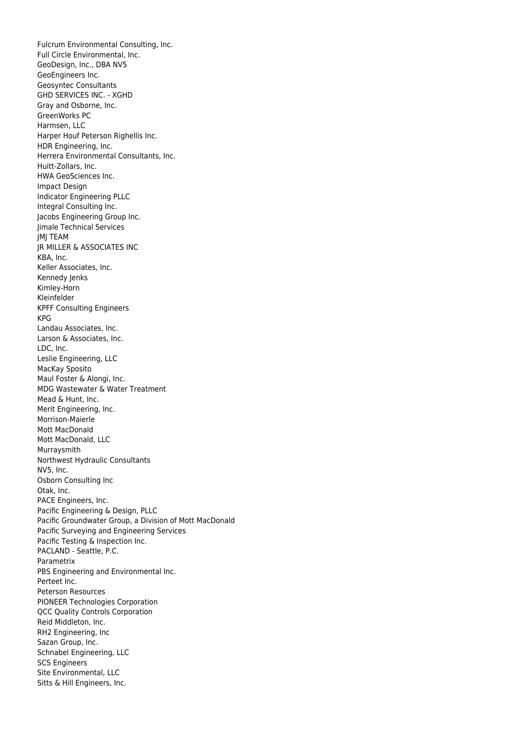Fulcrum Environmental Consulting, Inc. Full Circle Environmental, Inc. GeoDesign, Inc., DBA NV5 GeoEngineers Inc. Geosyntec Consultants GHD SERVICES INC. - XGHD Gray and Osborne, Inc. GreenWorks PC Harmsen, LLC Harper Houf Peterson Righellis Inc. HDR Engineering, Inc. Herrera Environmental Consultants, Inc. Huitt-Zollars, Inc. HWA GeoSciences Inc. Impact Design Indicator Engineering PLLC Integral Consulting Inc. Jacobs Engineering Group Inc. Jimale Technical Services JMJ TEAM JR MILLER & ASSOCIATES INC KBA, Inc. Keller Associates, Inc. Kennedy Jenks Kimley-Horn Kleinfelder KPFF Consulting Engineers KPG Landau Associates, Inc. Larson & Associates, Inc. LDC, Inc. Leslie Engineering, LLC MacKay Sposito Maul Foster & Alongi, Inc. MDG Wastewater & Water Treatment Mead & Hunt, Inc. Merit Engineering, Inc. Morrison-Maierle Mott MacDonald Mott MacDonald, LLC Murraysmith Northwest Hydraulic Consultants NV5, Inc. Osborn Consulting Inc Otak, Inc. PACE Engineers, Inc. Pacific Engineering & Design, PLLC Pacific Groundwater Group, a Division of Mott MacDonald Pacific Surveying and Engineering Services Pacific Testing & Inspection Inc. PACLAND - Seattle, P.C. Parametrix PBS Engineering and Environmental Inc. Perteet Inc. Peterson Resources PIONEER Technologies Corporation QCC Quality Controls Corporation Reid Middleton, Inc. RH2 Engineering, Inc Sazan Group, Inc. Schnabel Engineering, LLC SCS Engineers Site Environmental, LLC Sitts & Hill Engineers, Inc.